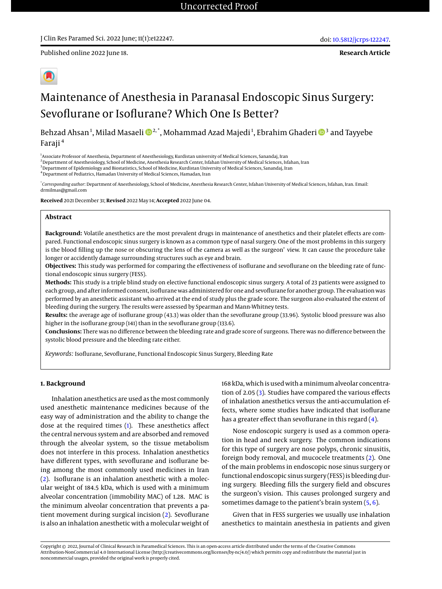Published online 2022 June 18.

**Research Article**



# Maintenance of Anesthesia in Paranasal Endoscopic Sinus Surgery: Sevoflurane or Isoflurane? Which One Is Better?

Behzad Ahsan<sup>1</sup>, Milad Masaeli ������\*, Mohammad Azad Majedi<sup>1</sup>, Ebrahim Ghaderi ���� and Tayyebe Faraji <sup>4</sup>

<sup>1</sup>Associate Professor of Anesthesia, Department of Anesthesiology, Kurdistan university of Medical Sciences, Sanandaj, Iran

<sup>2</sup> Department of Anesthesiology, School of Medicine, Anesthesia Research Center, Isfahan University of Medical Sciences, Isfahan, Iran

<sup>3</sup> Department of Epidemiology and Biostatistics, School of Medicine, Kurdistan University of Medical Sciences, Sanandaj, Iran

<sup>4</sup>Department of Pediatrics, Hamadan University of Medical Sciences, Hamadan, Iran

\* *Corresponding author*: Department of Anesthesiology, School of Medicine, Anesthesia Research Center, Isfahan University of Medical Sciences, Isfahan, Iran. Email: drmilmas@gmail.com

**Received** 2021 December 31; **Revised** 2022 May 14; **Accepted** 2022 June 04.

#### **Abstract**

**Background:** Volatile anesthetics are the most prevalent drugs in maintenance of anesthetics and their platelet effects are compared. Functional endoscopic sinus surgery is known as a common type of nasal surgery. One of the most problems in this surgery is the blood filling up the nose or obscuring the lens of the camera as well as the surgeon' view. It can cause the procedure take longer or accidently damage surrounding structures such as eye and brain.

**Objectives:** This study was performed for comparing the effectiveness of isoflurane and sevoflurane on the bleeding rate of functional endoscopic sinus surgery (FESS).

**Methods:** This study is a triple blind study on elective functional endoscopic sinus surgery. A total of 23 patients were assigned to each group, and after informed consent, isoflurane was administered for one and sevoflurane for another group. The evaluation was performed by an anesthetic assistant who arrived at the end of study plus the grade score. The surgeon also evaluated the extent of bleeding during the surgery. The results were assessed by Spearman and Mann-Whitney tests.

**Results:** the average age of isoflurane group (43.3) was older than the sevoflurane group (33.96). Systolic blood pressure was also higher in the isoflurane group (141) than in the sevoflurane group (133.6).

**Conclusions:** There was no difference between the bleeding rate and grade score of surgeons. There was no difference between the systolic blood pressure and the bleeding rate either.

*Keywords:* Isoflurane, Sevoflurane, Functional Endoscopic Sinus Surgery, Bleeding Rate

#### **1. Background**

Inhalation anesthetics are used as the most commonly used anesthetic maintenance medicines because of the easy way of administration and the ability to change the dose at the required times [\(1\)](#page-4-0). These anesthetics affect the central nervous system and are absorbed and removed through the alveolar system, so the tissue metabolism does not interfere in this process. Inhalation anesthetics have different types, with sevoflurane and isoflurane being among the most commonly used medicines in Iran [\(2\)](#page-4-1). Isoflurane is an inhalation anesthetic with a molecular weight of 184.5 kDa, which is used with a minimum alveolar concentration (immobility MAC) of 1.28. MAC is the minimum alveolar concentration that prevents a patient movement during surgical incision [\(2\)](#page-4-1). Sevoflurane is also an inhalation anesthetic with a molecular weight of 168 kDa, which is used with a minimum alveolar concentration of 2.05 [\(3\)](#page-4-2). Studies have compared the various effects of inhalation anesthetics versus the anti-accumulation effects, where some studies have indicated that isoflurane has a greater effect than sevoflurane in this regard [\(4\)](#page-4-3).

Nose endoscopic surgery is used as a common operation in head and neck surgery. The common indications for this type of surgery are nose polyps, chronic sinusitis, foreign body removal, and mucocele treatments [\(2\)](#page-4-1). One of the main problems in endoscopic nose sinus surgery or functional endoscopic sinus surgery (FESS) is bleeding during surgery. Bleeding fills the surgery field and obscures the surgeon's vision. This causes prolonged surgery and sometimes damage to the patient's brain system  $(5, 6)$  $(5, 6)$  $(5, 6)$ .

Given that in FESS surgeries we usually use inhalation anesthetics to maintain anesthesia in patients and given

Copyright © 2022, Journal of Clinical Research in Paramedical Sciences. This is an open-access article distributed under the terms of the Creative Commons Attribution-NonCommercial 4.0 International License (http://creativecommons.org/licenses/by-nc/4.0/) which permits copy and redistribute the material just in noncommercial usages, provided the original work is properly cited.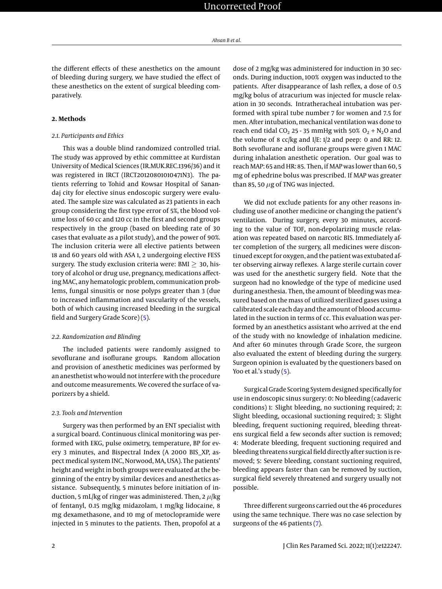the different effects of these anesthetics on the amount of bleeding during surgery, we have studied the effect of these anesthetics on the extent of surgical bleeding comparatively.

#### **2. Methods**

## *2.1. Participants and Ethics*

This was a double blind randomized controlled trial. The study was approved by ethic committee at Kurdistan University of Medical Sciences (IR.MUK.REC.1396/36) and it was registered in IRCT (IRCT20120801010471N3). The patients referring to Tohid and Kowsar Hospital of Sanandaj city for elective sinus endoscopic surgery were evaluated. The sample size was calculated as 23 patients in each group considering the first type error of 5%, the blood volume loss of 60 cc and 120 cc in the first and second groups respectively in the group (based on bleeding rate of 30 cases that evaluate as a pilot study), and the power of 90%. The inclusion criteria were all elective patients between 18 and 60 years old with ASA 1, 2 undergoing elective FESS surgery. The study exclusion criteria were: BMI  $\geq$  30, history of alcohol or drug use, pregnancy, medications affecting MAC, any hematologic problem, communication problems, fungal sinusitis or nose polyps greater than 3 (due to increased inflammation and vascularity of the vessels, both of which causing increased bleeding in the surgical field and Surgery Grade Score) [\(5\)](#page-4-4).

#### *2.2. Randomization and Blinding*

The included patients were randomly assigned to sevoflurane and isoflurane groups. Random allocation and provision of anesthetic medicines was performed by an anesthetist who would not interfere with the procedure and outcome measurements. We covered the surface of vaporizers by a shield.

#### *2.3. Tools and Intervention*

Surgery was then performed by an ENT specialist with a surgical board. Continuous clinical monitoring was performed with EKG, pulse oximetry, temperature, BP for every 3 minutes, and Bispectral Index (A 2000 BIS\_XP, aspect medical system INC, Norwood, MA, USA). The patients' height and weight in both groups were evaluated at the beginning of the entry by similar devices and anesthetics assistance. Subsequently, 5 minutes before initiation of induction, 5 mL/kg of ringer was administered. Then, 2  $\mu$ /kg of fentanyl, 0.15 mg/kg midazolam, 1 mg/kg lidocaine, 8 mg dexamethasone, and 10 mg of metoclopramide were injected in 5 minutes to the patients. Then, propofol at a

dose of 2 mg/kg was administered for induction in 30 seconds. During induction, 100% oxygen was inducted to the patients. After disappearance of lash reflex, a dose of 0.5 mg/kg bolus of atracurium was injected for muscle relaxation in 30 seconds. Intratheracheal intubation was performed with spiral tube number 7 for women and 7.5 for men. After intubation, mechanical ventilation was done to reach end tidal CO<sub>2</sub> 25 - 35 mmHg with 50% O<sub>2</sub> + N<sub>2</sub>O and the volume of 8 cc/kg and I/E: 1/2 and peep: 0 and RR: 12. Both sevoflurane and isoflurane groups were given 1 MAC during inhalation anesthetic operation. Our goal was to reach MAP: 65 and HR: 85. Then, if MAP was lower than 60, 5 mg of ephedrine bolus was prescribed. If MAP was greater than 85, 50  $\mu$ g of TNG was injected.

We did not exclude patients for any other reasons including use of another medicine or changing the patient's ventilation. During surgery, every 30 minutes, according to the value of TOF, non-depolarizing muscle relaxation was repeated based on narcotic BIS. Immediately after completion of the surgery, all medicines were discontinued except for oxygen, and the patient was extubated after observing airway reflexes. A large sterile curtain cover was used for the anesthetic surgery field. Note that the surgeon had no knowledge of the type of medicine used during anesthesia. Then, the amount of bleeding was measured based on the mass of utilized sterilized gases using a calibrated scale each day and the amount of blood accumulated in the suction in terms of cc. This evaluation was performed by an anesthetics assistant who arrived at the end of the study with no knowledge of inhalation medicine. And after 60 minutes through Grade Score, the surgeon also evaluated the extent of bleeding during the surgery. Surgeon opinion is evaluated by the questioners based on Yoo et al.'s study  $(5)$ .

Surgical Grade Scoring System designed specifically for use in endoscopic sinus surgery: 0: No bleeding (cadaveric conditions) 1: Slight bleeding, no suctioning required; 2: Slight bleeding, occasional suctioning required; 3: Slight bleeding, frequent suctioning required, bleeding threatens surgical field a few seconds after suction is removed; 4: Moderate bleeding, frequent suctioning required and bleeding threatens surgical field directly after suction is removed; 5: Severe bleeding, constant suctioning required, bleeding appears faster than can be removed by suction, surgical field severely threatened and surgery usually not possible.

Three different surgeons carried out the 46 procedures using the same technique. There was no case selection by surgeons of the 46 patients [\(7\)](#page-4-6).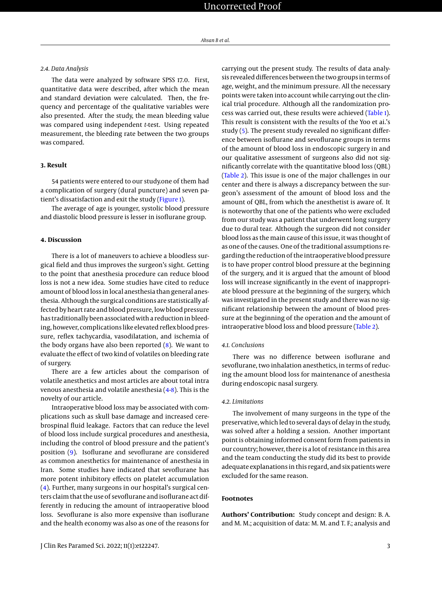#### *2.4. Data Analysis*

The data were analyzed by software SPSS 17.0. First, quantitative data were described, after which the mean and standard deviation were calculated. Then, the frequency and percentage of the qualitative variables were also presented. After the study, the mean bleeding value was compared using independent *t*-test. Using repeated measurement, the bleeding rate between the two groups was compared.

#### **3. Result**

54 patients were entered to our study.one of them had a complication of surgery (dural puncture) and seven patient's dissatisfaction and exit the study [\(Figure 1\)](#page-3-0).

The average of age is younger, systolic blood pressure and diastolic blood pressure is lesser in isoflurane group.

## **4. Discussion**

There is a lot of maneuvers to achieve a bloodless surgical field and thus improves the surgeon's sight. Getting to the point that anesthesia procedure can reduce blood loss is not a new idea. Some studies have cited to reduce amount of blood loss in local anesthesia than general anesthesia. Although the surgical conditions are statistically affected by heart rate and blood pressure, low blood pressure has traditionally been associated with a reduction in bleeding, however, complications like elevated reflex blood pressure, reflex tachycardia, vasodilatation, and ischemia of the body organs have also been reported [\(8\)](#page-4-7). We want to evaluate the effect of two kind of volatiles on bleeding rate of surgery.

There are a few articles about the comparison of volatile anesthetics and most articles are about total intra venous anesthesia and volatile anesthesia [\(4](#page-4-3)[-8\)](#page-4-7). This is the novelty of our article.

Intraoperative blood loss may be associated with complications such as skull base damage and increased cerebrospinal fluid leakage. Factors that can reduce the level of blood loss include surgical procedures and anesthesia, including the control of blood pressure and the patient's position [\(9\)](#page-4-8). Isoflurane and sevoflurane are considered as common anesthetics for maintenance of anesthesia in Iran. Some studies have indicated that sevoflurane has more potent inhibitory effects on platelet accumulation [\(4\)](#page-4-3). Further, many surgeons in our hospital's surgical centers claim that the use of sevoflurane and isoflurane act differently in reducing the amount of intraoperative blood loss. Sevoflurane is also more expensive than isoflurane and the health economy was also as one of the reasons for

carrying out the present study. The results of data analysis revealed differences between the two groups in terms of age, weight, and the minimum pressure. All the necessary points were taken into account while carrying out the clinical trial procedure. Although all the randomization process was carried out, these results were achieved [\(Table 1\)](#page-3-1). This result is consistent with the results of the Yoo et ai.'s study [\(5\)](#page-4-4). The present study revealed no significant difference between isoflurane and sevoflurane groups in terms of the amount of blood loss in endoscopic surgery in and our qualitative assessment of surgeons also did not significantly correlate with the quantitative blood loss (QBL) [\(Table 2\)](#page-4-9). This issue is one of the major challenges in our center and there is always a discrepancy between the surgeon's assessment of the amount of blood loss and the amount of QBL, from which the anesthetist is aware of. It is noteworthy that one of the patients who were excluded from our study was a patient that underwent long surgery due to dural tear. Although the surgeon did not consider blood loss as the main cause of this issue, it was thought of as one of the causes. One of the traditional assumptions regarding the reduction of the intraoperative blood pressure is to have proper control blood pressure at the beginning of the surgery, and it is argued that the amount of blood loss will increase significantly in the event of inappropriate blood pressure at the beginning of the surgery, which was investigated in the present study and there was no significant relationship between the amount of blood pressure at the beginning of the operation and the amount of intraoperative blood loss and blood pressure [\(Table 2\)](#page-4-9).

#### *4.1. Conclusions*

There was no difference between isoflurane and sevoflurane, two inhalation anesthetics, in terms of reducing the amount blood loss for maintenance of anesthesia during endoscopic nasal surgery.

#### *4.2. Limitations*

The involvement of many surgeons in the type of the preservative, which led to several days of delay in the study, was solved after a holding a session. Another important point is obtaining informed consent form from patients in our country; however, there is a lot of resistance in this area and the team conducting the study did its best to provide adequate explanations in this regard, and six patients were excluded for the same reason.

# **Footnotes**

**Authors' Contribution:** Study concept and design: B. A. and M. M.; acquisition of data: M. M. and T. F.; analysis and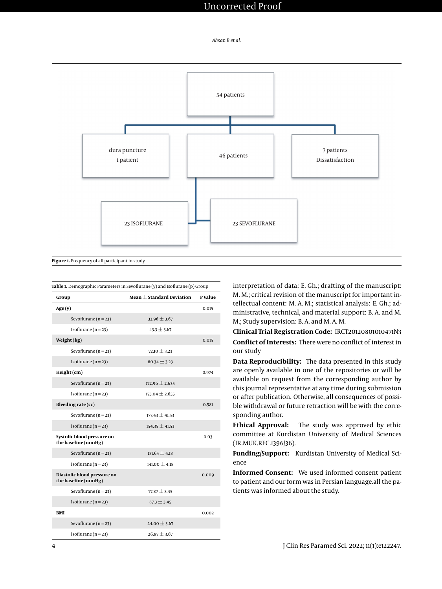

<span id="page-3-0"></span>

<span id="page-3-1"></span>

| Group                                              | Mean $+$ Standard Deviation | <b>PValue</b> |
|----------------------------------------------------|-----------------------------|---------------|
| Age(y)                                             |                             | 0.015         |
| Sevoflurane ( $n = 23$ )                           | $33.96 \pm 3.67$            |               |
| Isoflurane $(n=23)$                                | $43.3 \pm 3.67$             |               |
| Weight (kg)                                        |                             | 0.015         |
| Sevoflurane ( $n = 23$ )                           | $72.10 \pm 3.23$            |               |
| Isoflurane $(n = 23)$                              | $80.34 \pm 3.23$            |               |
| Height (cm)                                        |                             | 0.974         |
| Sevoflurane ( $n = 23$ )                           | $172.96 \pm 2.635$          |               |
| Isoflurane $(n = 23)$                              | $173.04 \pm 2.635$          |               |
| Bleeding rate (cc)                                 |                             | 0.581         |
| Sevoflurane ( $n = 23$ )                           | $177.43 \pm 41.53$          |               |
| Isoflurane $(n = 23)$                              | $154.35 \pm 41.53$          |               |
| Systolic blood pressure on<br>the baseline (mmHg)  |                             | 0.03          |
| Sevoflurane ( $n = 23$ )                           | $131.65 \pm 4.18$           |               |
| Isoflurane $(n = 23)$                              | $141.00 \pm 4.18$           |               |
| Diastolic blood pressure on<br>the baseline (mmHg) |                             | 0.009         |
| Sevoflurane ( $n = 23$ )                           | $77.87 \pm 3.45$            |               |
| Isoflurane $(n = 23)$                              | $87.3 \pm 3.45$             |               |
| <b>BMI</b>                                         |                             | 0.002         |
| Sevoflurane ( $n = 23$ )                           | 24.00 $\pm$ 3.67            |               |
| Isoflurane $(n = 23)$                              | $26.87 \pm 3.67$            |               |

interpretation of data: E. Gh.; drafting of the manuscript: M. M.; critical revision of the manuscript for important intellectual content: M. A. M.; statistical analysis: E. Gh.; administrative, technical, and material support: B. A. and M. M.; Study supervision: B. A. and M. A. M.

**Clinical Trial Registration Code:** IRCT20120801010471N3 **Conflict of Interests:** There were no conflict of interest in our study

**Data Reproducibility:** The data presented in this study are openly available in one of the repositories or will be available on request from the corresponding author by this journal representative at any time during submission or after publication. Otherwise, all consequences of possible withdrawal or future retraction will be with the corresponding author.

**Ethical Approval:** The study was approved by ethic committee at Kurdistan University of Medical Sciences (IR.MUK.REC.1396/36).

**Funding/Support:** Kurdistan University of Medical Science

**Informed Consent:** We used informed consent patient to patient and our form was in Persian language.all the patients was informed about the study.